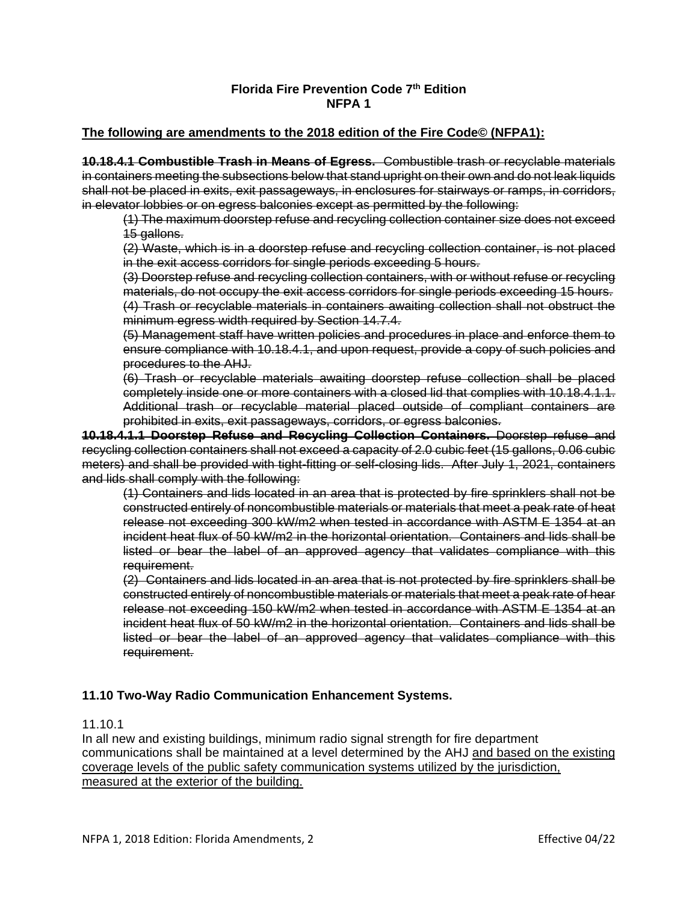## **Florida Fire Prevention Code 7th Edition NFPA 1**

## **The following are amendments to the 2018 edition of the Fire Code© (NFPA1):**

**10.18.4.1 Combustible Trash in Means of Egress.** Combustible trash or recyclable materials in containers meeting the subsections below that stand upright on their own and do not leak liquids shall not be placed in exits, exit passageways, in enclosures for stairways or ramps, in corridors, in elevator lobbies or on egress balconies except as permitted by the following:

(1) The maximum doorstep refuse and recycling collection container size does not exceed 15 gallons.

(2) Waste, which is in a doorstep refuse and recycling collection container, is not placed in the exit access corridors for single periods exceeding 5 hours.

(3) Doorstep refuse and recycling collection containers, with or without refuse or recycling materials, do not occupy the exit access corridors for single periods exceeding 15 hours. (4) Trash or recyclable materials in containers awaiting collection shall not obstruct the minimum egress width required by Section 14.7.4.

(5) Management staff have written policies and procedures in place and enforce them to ensure compliance with 10.18.4.1, and upon request, provide a copy of such policies and procedures to the AHJ.

(6) Trash or recyclable materials awaiting doorstep refuse collection shall be placed completely inside one or more containers with a closed lid that complies with 10.18.4.1.1. Additional trash or recyclable material placed outside of compliant containers are prohibited in exits, exit passageways, corridors, or egress balconies.

**10.18.4.1.1 Doorstep Refuse and Recycling Collection Containers.** Doorstep refuse and recycling collection containers shall not exceed a capacity of 2.0 cubic feet (15 gallons, 0.06 cubic meters) and shall be provided with tight-fitting or self-closing lids. After July 1, 2021, containers and lids shall comply with the following:

(1) Containers and lids located in an area that is protected by fire sprinklers shall not be constructed entirely of noncombustible materials or materials that meet a peak rate of heat release not exceeding 300 kW/m2 when tested in accordance with ASTM E 1354 at an incident heat flux of 50 kW/m2 in the horizontal orientation. Containers and lids shall be listed or bear the label of an approved agency that validates compliance with this requirement.

(2) Containers and lids located in an area that is not protected by fire sprinklers shall be constructed entirely of noncombustible materials or materials that meet a peak rate of hear release not exceeding 150 kW/m2 when tested in accordance with ASTM E 1354 at an incident heat flux of 50 kW/m2 in the horizontal orientation. Containers and lids shall be listed or bear the label of an approved agency that validates compliance with this requirement.

## **11.10 Two-Way Radio Communication Enhancement Systems.**

## 11.10.1

In all new and existing buildings, minimum radio signal strength for fire department communications shall be maintained at a level determined by the AHJ and based on the existing coverage levels of the public safety communication systems utilized by the jurisdiction, measured at the exterior of the building.